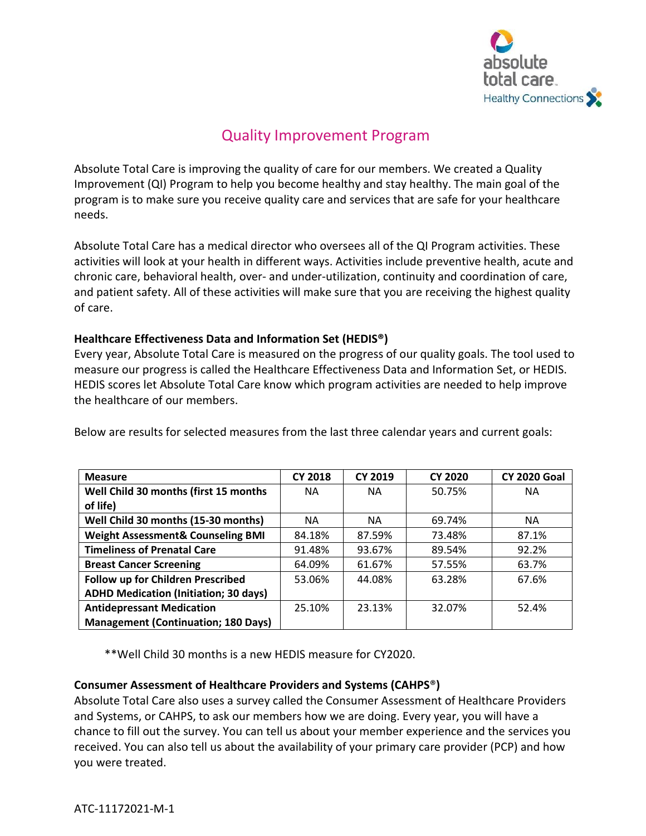

## Quality Improvement Program

Absolute Total Care is improving the quality of care for our members. We created a Quality Improvement (QI) Program to help you become healthy and stay healthy. The main goal of the program is to make sure you receive quality care and services that are safe for your healthcare needs.

Absolute Total Care has a medical director who oversees all of the QI Program activities. These activities will look at your health in different ways. Activities include preventive health, acute and chronic care, behavioral health, over- and under-utilization, continuity and coordination of care, and patient safety. All of these activities will make sure that you are receiving the highest quality of care.

## **Healthcare Effectiveness Data and Information Set (HEDIS®)**

Every year, Absolute Total Care is measured on the progress of our quality goals. The tool used to measure our progress is called the Healthcare Effectiveness Data and Information Set, or HEDIS. HEDIS scores let Absolute Total Care know which program activities are needed to help improve the healthcare of our members.

| <b>Measure</b>                               | <b>CY 2018</b> | <b>CY 2019</b> | <b>CY 2020</b> | <b>CY 2020 Goal</b> |
|----------------------------------------------|----------------|----------------|----------------|---------------------|
| Well Child 30 months (first 15 months        | NА             | <b>NA</b>      | 50.75%         | <b>NA</b>           |
| of life)                                     |                |                |                |                     |
| Well Child 30 months (15-30 months)          | <b>NA</b>      | <b>NA</b>      | 69.74%         | <b>NA</b>           |
| <b>Weight Assessment&amp; Counseling BMI</b> | 84.18%         | 87.59%         | 73.48%         | 87.1%               |
| <b>Timeliness of Prenatal Care</b>           | 91.48%         | 93.67%         | 89.54%         | 92.2%               |
| <b>Breast Cancer Screening</b>               | 64.09%         | 61.67%         | 57.55%         | 63.7%               |
| Follow up for Children Prescribed            | 53.06%         | 44.08%         | 63.28%         | 67.6%               |
| <b>ADHD Medication (Initiation; 30 days)</b> |                |                |                |                     |
| <b>Antidepressant Medication</b>             | 25.10%         | 23.13%         | 32.07%         | 52.4%               |
| <b>Management (Continuation; 180 Days)</b>   |                |                |                |                     |

Below are results for selected measures from the last three calendar years and current goals:

\*\*Well Child 30 months is a new HEDIS measure for CY2020.

## **Consumer Assessment of Healthcare Providers and Systems (CAHPS**®**)**

Absolute Total Care also uses a survey called the Consumer Assessment of Healthcare Providers and Systems, or CAHPS, to ask our members how we are doing. Every year, you will have a chance to fill out the survey. You can tell us about your member experience and the services you received. You can also tell us about the availability of your primary care provider (PCP) and how you were treated.